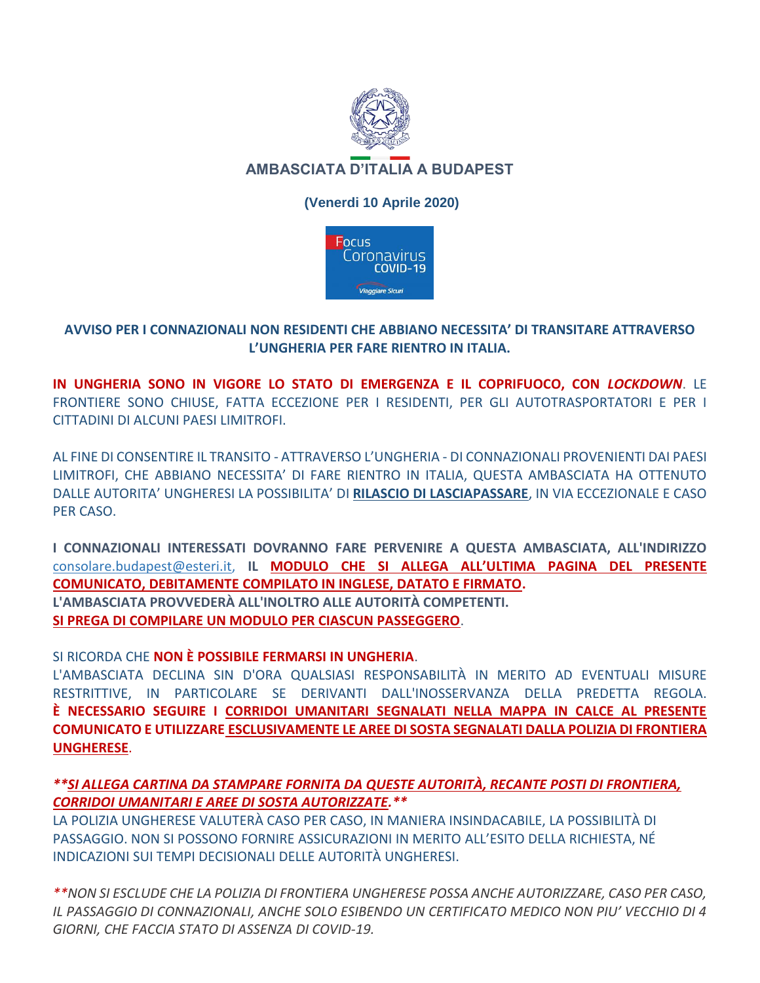

# (Venerdi 10 Aprile 2020)



## AVVISO PER I CONNAZIONALI NON RESIDENTI CHE ABBIANO NECESSITA' DI TRANSITARE ATTRAVERSO L'UNGHERIA PER FARE RIENTRO IN ITALIA.

IN UNGHERIA SONO IN VIGORE LO STATO DI EMERGENZA E IL COPRIFUOCO. CON LOCKDOWN. LE FRONTIERE SONO CHIUSE, FATTA ECCEZIONE PER I RESIDENTI, PER GLI AUTOTRASPORTATORI E PER I CITTADINI DI ALCUNI PAESI LIMITROFI.

AL FINE DI CONSENTIRE IL TRANSITO - ATTRAVERSO L'UNGHERIA - DI CONNAZIONALI PROVENIENTI DAI PAESI LIMITROFI, CHE ABBIANO NECESSITA' DI FARE RIENTRO IN ITALIA, QUESTA AMBASCIATA HA OTTENUTO DALLE AUTORITA' UNGHERESI LA POSSIBILITA' DI RILASCIO DI LASCIAPASSARE, IN VIA ECCEZIONALE E CASO PER CASO.

I CONNAZIONALI INTERESSATI DOVRANNO FARE PERVENIRE A QUESTA AMBASCIATA, ALL'INDIRIZZO consolare.budapest@esteri.it, IL MODULO CHE SI ALLEGA ALL'ULTIMA PAGINA DEL PRESENTE **COMUNICATO, DEBITAMENTE COMPILATO IN INGLESE, DATATO E FIRMATO.** L'AMBASCIATA PROVVEDERÀ ALL'INOLTRO ALLE AUTORITÀ COMPETENTI. SI PREGA DI COMPILARE UN MODULO PER CIASCUN PASSEGGERO.

SI RICORDA CHE NON È POSSIBILE FERMARSI IN UNGHERIA.

L'AMBASCIATA DECLINA SIN D'ORA QUALSIASI RESPONSABILITÀ IN MERITO AD EVENTUALI MISURE RESTRITTIVE. IN PARTICOLARE SE DERIVANTI DALL'INOSSERVANZA DELLA PREDETTA REGOLA. È NECESSARIO SEGUIRE I CORRIDOI UMANITARI SEGNALATI NELLA MAPPA IN CALCE AL PRESENTE COMUNICATO E UTILIZZARE ESCLUSIVAMENTE LE AREE DI SOSTA SEGNALATI DALLA POLIZIA DI FRONTIERA **UNGHERESE.** 

## \*\*SI ALLEGA CARTINA DA STAMPARE FORNITA DA QUESTE AUTORITÀ, RECANTE POSTI DI FRONTIERA, **CORRIDOI UMANITARI E AREE DI SOSTA AUTORIZZATE. \*\***

LA POLIZIA UNGHERESE VALUTERÀ CASO PER CASO, IN MANIERA INSINDACABILE, LA POSSIBILITÀ DI PASSAGGIO. NON SI POSSONO FORNIRE ASSICURAZIONI IN MERITO ALL'ESITO DELLA RICHIESTA, NÉ INDICAZIONI SUI TEMPI DECISIONALI DELLE AUTORITÀ UNGHERESI.

\*\*NON SI ESCLUDE CHE LA POLIZIA DI FRONTIERA UNGHERESE POSSA ANCHE AUTORIZZARE, CASO PER CASO, IL PASSAGGIO DI CONNAZIONALI, ANCHE SOLO ESIBENDO UN CERTIFICATO MEDICO NON PIU' VECCHIO DI 4 GIORNI. CHE FACCIA STATO DI ASSENZA DI COVID-19.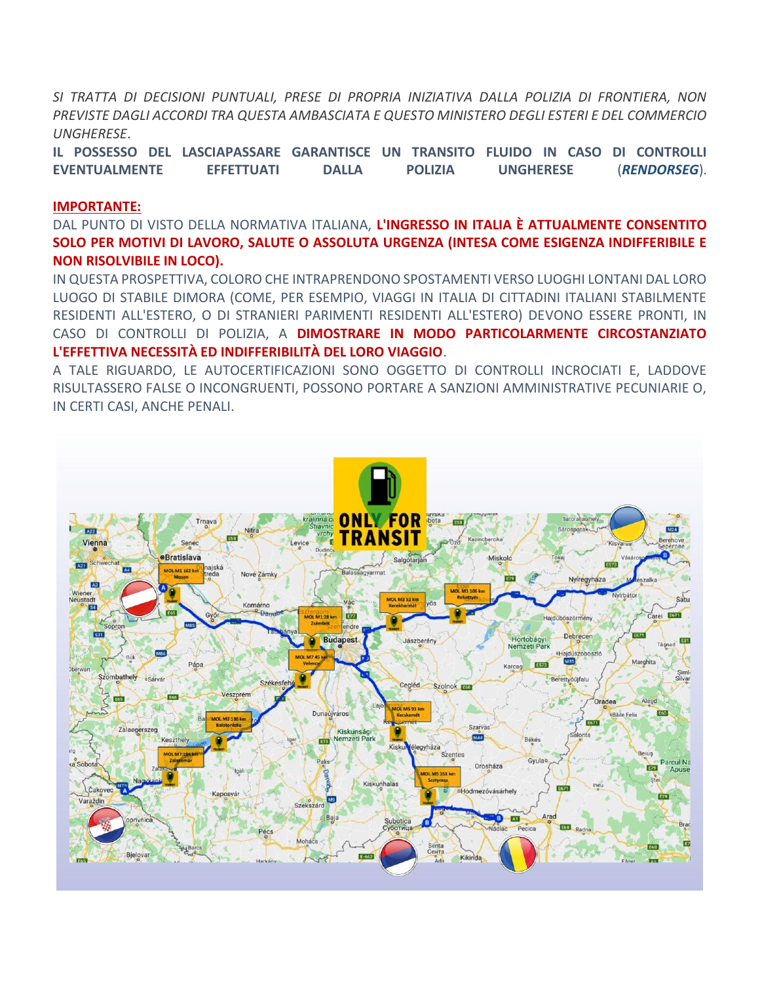SI TRATTA DI DECISIONI PUNTUALI, PRESE DI PROPRIA INIZIATIVA DALLA POLIZIA DI FRONTIERA, NON PREVISTE DAGLI ACCORDI TRA QUESTA AMBASCIATA E QUESTO MINISTERO DEGLI ESTERI E DEL COMMERCIO **UNGHERESE.** 

IL POSSESSO DEL LASCIAPASSARE GARANTISCE UN TRANSITO FLUIDO IN CASO DI CONTROLLI **EVENTUALMENTE EFFETTUATI DALLA POLIZIA UNGHERESE** (RENDORSEG).

#### **IMPORTANTE:**

DAL PUNTO DI VISTO DELLA NORMATIVA ITALIANA, L'INGRESSO IN ITALIA È ATTUALMENTE CONSENTITO SOLO PER MOTIVI DI LAVORO, SALUTE O ASSOLUTA URGENZA (INTESA COME ESIGENZA INDIFFERIBILE E **NON RISOLVIBILE IN LOCO).** 

IN QUESTA PROSPETTIVA, COLORO CHE INTRAPRENDONO SPOSTAMENTI VERSO LUOGHI LONTANI DAL LORO LUOGO DI STABILE DIMORA (COME, PER ESEMPIO, VIAGGI IN ITALIA DI CITTADINI ITALIANI STABILMENTE RESIDENTI ALL'ESTERO, O DI STRANIERI PARIMENTI RESIDENTI ALL'ESTERO) DEVONO ESSERE PRONTI, IN CASO DI CONTROLLI DI POLIZIA, A DIMOSTRARE IN MODO PARTICOLARMENTE CIRCOSTANZIATO L'EFFETTIVA NECESSITÀ ED INDIFFERIBILITÀ DEL LORO VIAGGIO.

A TALE RIGUARDO. LE AUTOCERTIFICAZIONI SONO OGGETTO DI CONTROLLI INCROCIATI E. LADDOVE RISULTASSERO FALSE O INCONGRUENTI, POSSONO PORTARE A SANZIONI AMMINISTRATIVE PECUNIARIE O, IN CERTI CASI, ANCHE PENALI.